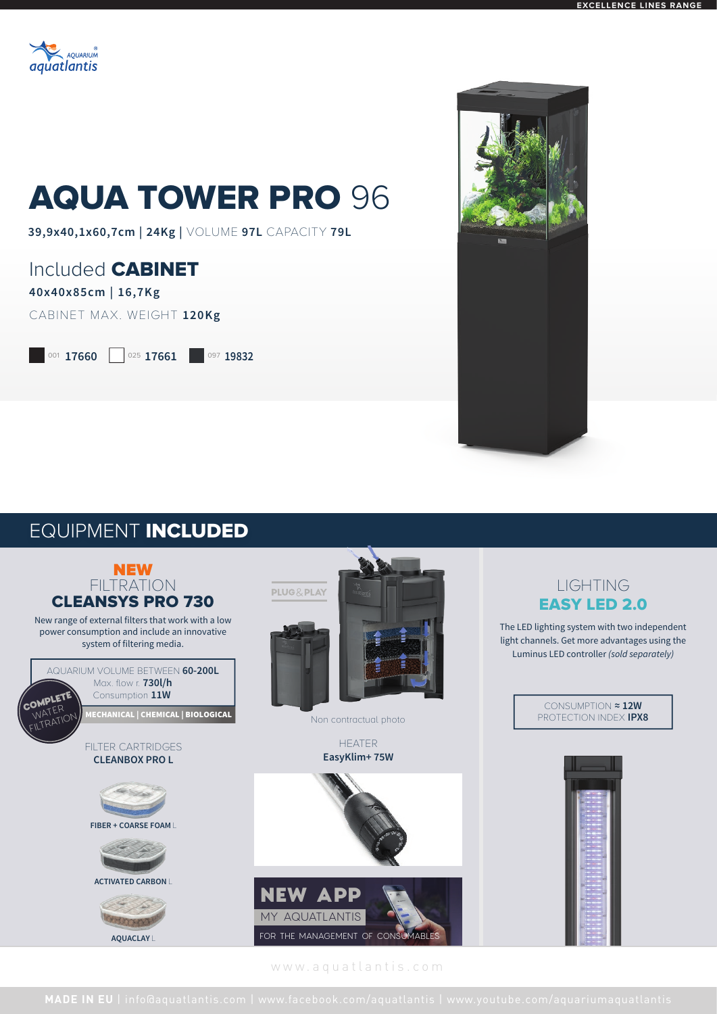

# AQUA TOWER PRO 96

**39,9x40,1x60,7cm | 24Kg |** VOLUME **97L** CAPACITY **79L**

### Included CABINET

#### **40x40x85cm | 16,7Kg**

CABINET MAX. WEIGHT **120Kg**

001 **17660** 025 **17661** 097 **19832** 



## EQUIPMENT INCLUDED



www.aquatlantis.com